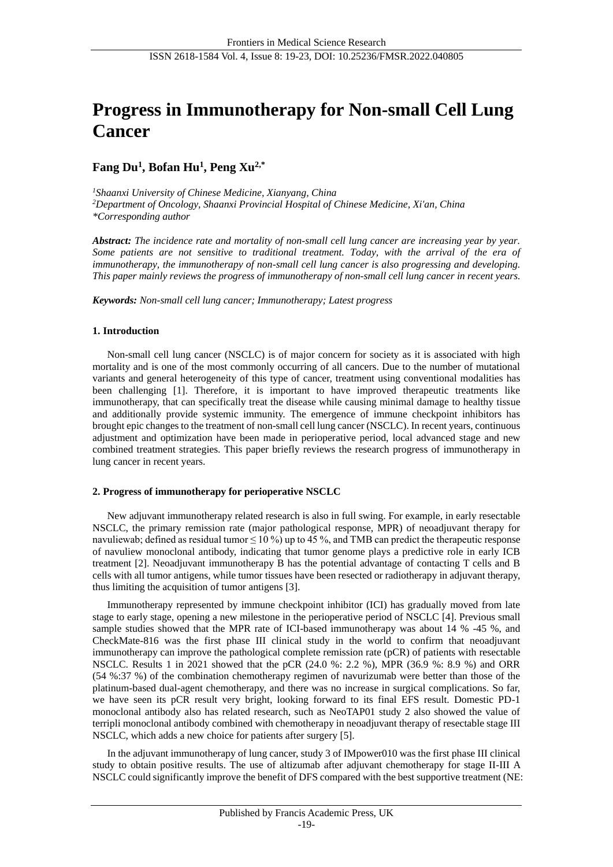# **Progress in Immunotherapy for Non-small Cell Lung Cancer**

# **Fang Du<sup>1</sup> , Bofan Hu<sup>1</sup> , Peng Xu2,\***

*<sup>1</sup>Shaanxi University of Chinese Medicine, Xianyang, China <sup>2</sup>Department of Oncology, Shaanxi Provincial Hospital of Chinese Medicine, Xi'an, China \*Corresponding author*

*Abstract: The incidence rate and mortality of non-small cell lung cancer are increasing year by year. Some patients are not sensitive to traditional treatment. Today, with the arrival of the era of immunotherapy, the immunotherapy of non-small cell lung cancer is also progressing and developing. This paper mainly reviews the progress of immunotherapy of non-small cell lung cancer in recent years.*

*Keywords: Non-small cell lung cancer; Immunotherapy; Latest progress*

# **1. Introduction**

Non-small cell lung cancer (NSCLC) is of major concern for society as it is associated with high mortality and is one of the most commonly occurring of all cancers. Due to the number of mutational variants and general heterogeneity of this type of cancer, treatment using conventional modalities has been challenging [1]. Therefore, it is important to have improved therapeutic treatments like immunotherapy, that can specifically treat the disease while causing minimal damage to healthy tissue and additionally provide systemic immunity. The emergence of immune checkpoint inhibitors has brought epic changes to the treatment of non-small cell lung cancer (NSCLC). In recent years, continuous adjustment and optimization have been made in perioperative period, local advanced stage and new combined treatment strategies. This paper briefly reviews the research progress of immunotherapy in lung cancer in recent years.

# **2. Progress of immunotherapy for perioperative NSCLC**

New adjuvant immunotherapy related research is also in full swing. For example, in early resectable NSCLC, the primary remission rate (major pathological response, MPR) of neoadjuvant therapy for navuliewab; defined as residual tumor  $\leq 10\%$ ) up to 45 %, and TMB can predict the therapeutic response of navuliew monoclonal antibody, indicating that tumor genome plays a predictive role in early ICB treatment [2]. Neoadjuvant immunotherapy B has the potential advantage of contacting T cells and B cells with all tumor antigens, while tumor tissues have been resected or radiotherapy in adjuvant therapy, thus limiting the acquisition of tumor antigens [3].

Immunotherapy represented by immune checkpoint inhibitor (ICI) has gradually moved from late stage to early stage, opening a new milestone in the perioperative period of NSCLC [4]. Previous small sample studies showed that the MPR rate of ICI-based immunotherapy was about 14 % -45 %, and CheckMate-816 was the first phase III clinical study in the world to confirm that neoadjuvant immunotherapy can improve the pathological complete remission rate (pCR) of patients with resectable NSCLC. Results 1 in 2021 showed that the pCR (24.0 %: 2.2 %), MPR (36.9 %: 8.9 %) and ORR (54 %:37 %) of the combination chemotherapy regimen of navurizumab were better than those of the platinum-based dual-agent chemotherapy, and there was no increase in surgical complications. So far, we have seen its pCR result very bright, looking forward to its final EFS result. Domestic PD-1 monoclonal antibody also has related research, such as NeoTAP01 study 2 also showed the value of terripli monoclonal antibody combined with chemotherapy in neoadjuvant therapy of resectable stage III NSCLC, which adds a new choice for patients after surgery [5].

In the adjuvant immunotherapy of lung cancer, study 3 of IMpower010 was the first phase III clinical study to obtain positive results. The use of altizumab after adjuvant chemotherapy for stage II-III A NSCLC could significantly improve the benefit of DFS compared with the best supportive treatment (NE: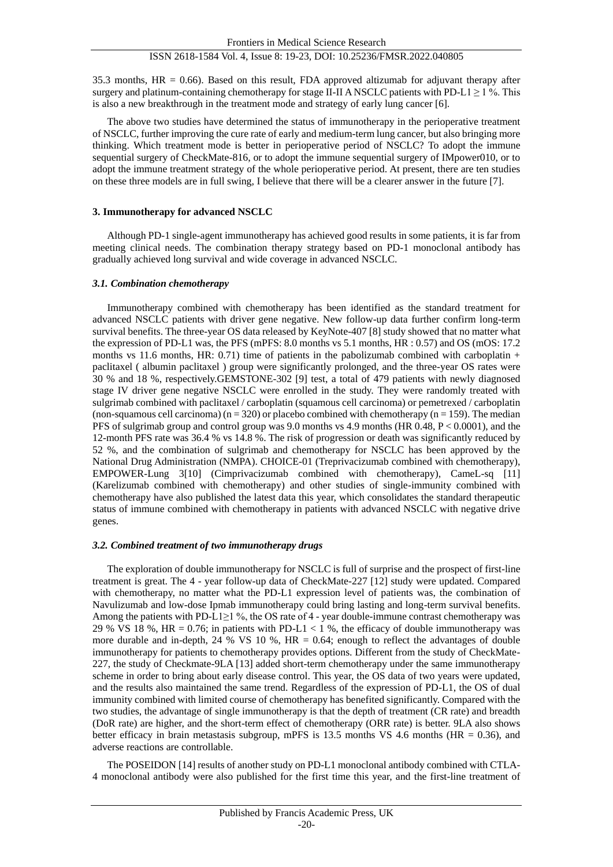35.3 months, HR = 0.66). Based on this result, FDA approved altizumab for adjuvant therapy after surgery and platinum-containing chemotherapy for stage II-II A NSCLC patients with PD-L1  $\geq$  1 %. This is also a new breakthrough in the treatment mode and strategy of early lung cancer [6].

The above two studies have determined the status of immunotherapy in the perioperative treatment of NSCLC, further improving the cure rate of early and medium-term lung cancer, but also bringing more thinking. Which treatment mode is better in perioperative period of NSCLC? To adopt the immune sequential surgery of CheckMate-816, or to adopt the immune sequential surgery of IMpower010, or to adopt the immune treatment strategy of the whole perioperative period. At present, there are ten studies on these three models are in full swing, I believe that there will be a clearer answer in the future [7].

## **3. Immunotherapy for advanced NSCLC**

Although PD-1 single-agent immunotherapy has achieved good results in some patients, it is far from meeting clinical needs. The combination therapy strategy based on PD-1 monoclonal antibody has gradually achieved long survival and wide coverage in advanced NSCLC.

#### *3.1. Combination chemotherapy*

Immunotherapy combined with chemotherapy has been identified as the standard treatment for advanced NSCLC patients with driver gene negative. New follow-up data further confirm long-term survival benefits. The three-year OS data released by KeyNote-407 [8] study showed that no matter what the expression of PD-L1 was, the PFS (mPFS: 8.0 months vs 5.1 months, HR : 0.57) and OS (mOS: 17.2 months vs 11.6 months, HR: 0.71) time of patients in the pabolizumab combined with carboplatin  $+$ paclitaxel ( albumin paclitaxel ) group were significantly prolonged, and the three-year OS rates were 30 % and 18 %, respectively.GEMSTONE-302 [9] test, a total of 479 patients with newly diagnosed stage IV driver gene negative NSCLC were enrolled in the study. They were randomly treated with sulgrimab combined with paclitaxel / carboplatin (squamous cell carcinoma) or pemetrexed / carboplatin (non-squamous cell carcinoma) ( $n = 320$ ) or placebo combined with chemotherapy ( $n = 159$ ). The median PFS of sulgrimab group and control group was 9.0 months vs 4.9 months (HR  $0.48$ ,  $P < 0.0001$ ), and the 12-month PFS rate was 36.4 % vs 14.8 %. The risk of progression or death was significantly reduced by 52 %, and the combination of sulgrimab and chemotherapy for NSCLC has been approved by the National Drug Administration (NMPA). CHOICE-01 (Treprivacizumab combined with chemotherapy), EMPOWER-Lung 3[10] (Cimprivacizumab combined with chemotherapy), CameL-sq [11] (Karelizumab combined with chemotherapy) and other studies of single-immunity combined with chemotherapy have also published the latest data this year, which consolidates the standard therapeutic status of immune combined with chemotherapy in patients with advanced NSCLC with negative drive genes.

#### *3.2. Combined treatment of two immunotherapy drugs*

The exploration of double immunotherapy for NSCLC is full of surprise and the prospect of first-line treatment is great. The 4 - year follow-up data of CheckMate-227 [12] study were updated. Compared with chemotherapy, no matter what the PD-L1 expression level of patients was, the combination of Navulizumab and low-dose Ipmab immunotherapy could bring lasting and long-term survival benefits. Among the patients with PD-L1≥1 %, the OS rate of 4 - year double-immune contrast chemotherapy was 29 % VS 18 %, HR = 0.76; in patients with PD-L1 < 1 %, the efficacy of double immunotherapy was more durable and in-depth, 24 % VS 10 %,  $HR = 0.64$ ; enough to reflect the advantages of double immunotherapy for patients to chemotherapy provides options. Different from the study of CheckMate-227, the study of Checkmate-9LA [13] added short-term chemotherapy under the same immunotherapy scheme in order to bring about early disease control. This year, the OS data of two years were updated, and the results also maintained the same trend. Regardless of the expression of PD-L1, the OS of dual immunity combined with limited course of chemotherapy has benefited significantly. Compared with the two studies, the advantage of single immunotherapy is that the depth of treatment (CR rate) and breadth (DoR rate) are higher, and the short-term effect of chemotherapy (ORR rate) is better. 9LA also shows better efficacy in brain metastasis subgroup, mPFS is 13.5 months VS 4.6 months (HR = 0.36), and adverse reactions are controllable.

The POSEIDON [14] results of another study on PD-L1 monoclonal antibody combined with CTLA-4 monoclonal antibody were also published for the first time this year, and the first-line treatment of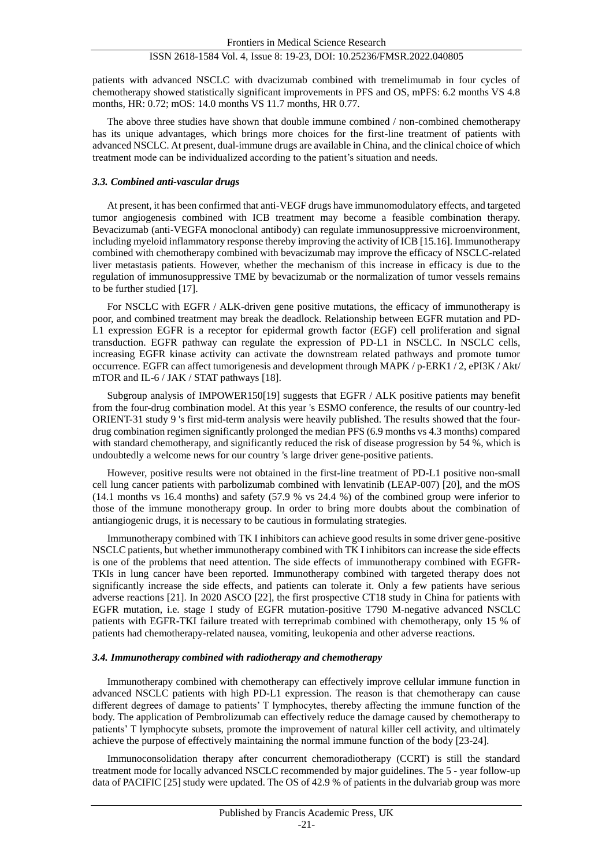patients with advanced NSCLC with dvacizumab combined with tremelimumab in four cycles of chemotherapy showed statistically significant improvements in PFS and OS, mPFS: 6.2 months VS 4.8 months, HR: 0.72; mOS: 14.0 months VS 11.7 months, HR 0.77.

The above three studies have shown that double immune combined / non-combined chemotherapy has its unique advantages, which brings more choices for the first-line treatment of patients with advanced NSCLC. At present, dual-immune drugs are available in China, and the clinical choice of which treatment mode can be individualized according to the patient's situation and needs.

#### *3.3. Combined anti-vascular drugs*

At present, it has been confirmed that anti-VEGF drugs have immunomodulatory effects, and targeted tumor angiogenesis combined with ICB treatment may become a feasible combination therapy. Bevacizumab (anti-VEGFA monoclonal antibody) can regulate immunosuppressive microenvironment, including myeloid inflammatory response thereby improving the activity of ICB [15.16]. Immunotherapy combined with chemotherapy combined with bevacizumab may improve the efficacy of NSCLC-related liver metastasis patients. However, whether the mechanism of this increase in efficacy is due to the regulation of immunosuppressive TME by bevacizumab or the normalization of tumor vessels remains to be further studied [17].

For NSCLC with EGFR / ALK-driven gene positive mutations, the efficacy of immunotherapy is poor, and combined treatment may break the deadlock. Relationship between EGFR mutation and PD-L1 expression EGFR is a receptor for epidermal growth factor (EGF) cell proliferation and signal transduction. EGFR pathway can regulate the expression of PD-L1 in NSCLC. In NSCLC cells, increasing EGFR kinase activity can activate the downstream related pathways and promote tumor occurrence. EGFR can affect tumorigenesis and development through MAPK / p-ERK1 / 2, ePI3K / Akt/ mTOR and IL-6 / JAK / STAT pathways [18].

Subgroup analysis of IMPOWER150[19] suggests that EGFR / ALK positive patients may benefit from the four-drug combination model. At this year 's ESMO conference, the results of our country-led ORIENT-31 study 9 's first mid-term analysis were heavily published. The results showed that the fourdrug combination regimen significantly prolonged the median PFS (6.9 months vs 4.3 months) compared with standard chemotherapy, and significantly reduced the risk of disease progression by 54 %, which is undoubtedly a welcome news for our country 's large driver gene-positive patients.

However, positive results were not obtained in the first-line treatment of PD-L1 positive non-small cell lung cancer patients with parbolizumab combined with lenvatinib (LEAP-007) [20], and the mOS (14.1 months vs 16.4 months) and safety (57.9 % vs 24.4 %) of the combined group were inferior to those of the immune monotherapy group. In order to bring more doubts about the combination of antiangiogenic drugs, it is necessary to be cautious in formulating strategies.

Immunotherapy combined with TK I inhibitors can achieve good results in some driver gene-positive NSCLC patients, but whether immunotherapy combined with TK I inhibitors can increase the side effects is one of the problems that need attention. The side effects of immunotherapy combined with EGFR-TKIs in lung cancer have been reported. Immunotherapy combined with targeted therapy does not significantly increase the side effects, and patients can tolerate it. Only a few patients have serious adverse reactions [21]. In 2020 ASCO [22], the first prospective CT18 study in China for patients with EGFR mutation, i.e. stage I study of EGFR mutation-positive T790 M-negative advanced NSCLC patients with EGFR-TKI failure treated with terreprimab combined with chemotherapy, only 15 % of patients had chemotherapy-related nausea, vomiting, leukopenia and other adverse reactions.

# *3.4. Immunotherapy combined with radiotherapy and chemotherapy*

Immunotherapy combined with chemotherapy can effectively improve cellular immune function in advanced NSCLC patients with high PD-L1 expression. The reason is that chemotherapy can cause different degrees of damage to patients' T lymphocytes, thereby affecting the immune function of the body. The application of Pembrolizumab can effectively reduce the damage caused by chemotherapy to patients' T lymphocyte subsets, promote the improvement of natural killer cell activity, and ultimately achieve the purpose of effectively maintaining the normal immune function of the body [23-24].

Immunoconsolidation therapy after concurrent chemoradiotherapy (CCRT) is still the standard treatment mode for locally advanced NSCLC recommended by major guidelines. The 5 - year follow-up data of PACIFIC [25] study were updated. The OS of 42.9 % of patients in the dulvariab group was more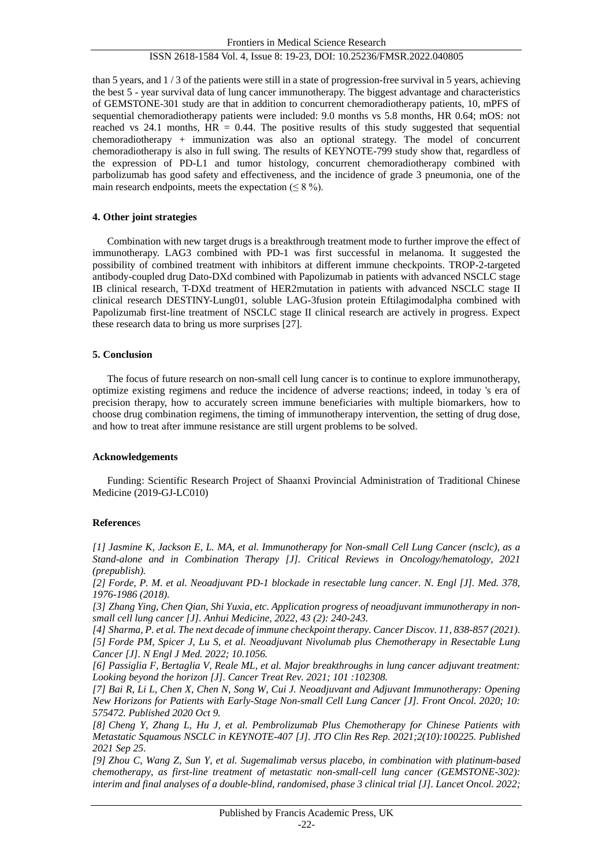than 5 years, and 1 / 3 of the patients were still in a state of progression-free survival in 5 years, achieving the best 5 - year survival data of lung cancer immunotherapy. The biggest advantage and characteristics of GEMSTONE-301 study are that in addition to concurrent chemoradiotherapy patients, 10, mPFS of sequential chemoradiotherapy patients were included: 9.0 months vs 5.8 months, HR 0.64; mOS: not reached vs 24.1 months,  $HR = 0.44$ . The positive results of this study suggested that sequential chemoradiotherapy + immunization was also an optional strategy. The model of concurrent chemoradiotherapy is also in full swing. The results of KEYNOTE-799 study show that, regardless of the expression of PD-L1 and tumor histology, concurrent chemoradiotherapy combined with parbolizumab has good safety and effectiveness, and the incidence of grade 3 pneumonia, one of the main research endpoints, meets the expectation  $(< 8\%$ ).

# **4. Other joint strategies**

Combination with new target drugs is a breakthrough treatment mode to further improve the effect of immunotherapy. LAG3 combined with PD-1 was first successful in melanoma. It suggested the possibility of combined treatment with inhibitors at different immune checkpoints. TROP-2-targeted antibody-coupled drug Dato-DXd combined with Papolizumab in patients with advanced NSCLC stage IB clinical research, T-DXd treatment of HER2mutation in patients with advanced NSCLC stage II clinical research DESTINY-Lung01, soluble LAG-3fusion protein Eftilagimodalpha combined with Papolizumab first-line treatment of NSCLC stage II clinical research are actively in progress. Expect these research data to bring us more surprises [27].

# **5. Conclusion**

The focus of future research on non-small cell lung cancer is to continue to explore immunotherapy, optimize existing regimens and reduce the incidence of adverse reactions; indeed, in today 's era of precision therapy, how to accurately screen immune beneficiaries with multiple biomarkers, how to choose drug combination regimens, the timing of immunotherapy intervention, the setting of drug dose, and how to treat after immune resistance are still urgent problems to be solved.

# **Acknowledgements**

Funding: Scientific Research Project of Shaanxi Provincial Administration of Traditional Chinese Medicine (2019-GJ-LC010)

#### **Reference**s

*[1] Jasmine K, Jackson E, L. MA, et al. Immunotherapy for Non-small Cell Lung Cancer (nsclc), as a Stand-alone and in Combination Therapy [J]. Critical Reviews in Oncology/hematology, 2021 (prepublish).*

*[2] Forde, P. M. et al. Neoadjuvant PD-1 blockade in resectable lung cancer. N. Engl [J]. Med. 378, 1976-1986 (2018).*

*[3] Zhang Ying, Chen Qian, Shi Yuxia, etc. Application progress of neoadjuvant immunotherapy in nonsmall cell lung cancer [J]. Anhui Medicine, 2022, 43 (2): 240-243.*

*[4] Sharma, P. et al. The next decade of immune checkpoint therapy. Cancer Discov. 11, 838-857 (2021). [5] Forde PM, Spicer J, Lu S, et al. Neoadjuvant Nivolumab plus Chemotherapy in Resectable Lung Cancer [J]. N Engl J Med. 2022; 10.1056.*

*[6] Passiglia F, Bertaglia V, Reale ML, et al. Major breakthroughs in lung cancer adjuvant treatment: Looking beyond the horizon [J]. Cancer Treat Rev. 2021; 101 :102308.*

*[7] Bai R, Li L, Chen X, Chen N, Song W, Cui J. Neoadjuvant and Adjuvant Immunotherapy: Opening New Horizons for Patients with Early-Stage Non-small Cell Lung Cancer [J]. Front Oncol. 2020; 10: 575472. Published 2020 Oct 9.* 

*[8] Cheng Y, Zhang L, Hu J, et al. Pembrolizumab Plus Chemotherapy for Chinese Patients with Metastatic Squamous NSCLC in KEYNOTE-407 [J]. JTO Clin Res Rep. 2021;2(10):100225. Published 2021 Sep 25.* 

*[9] Zhou C, Wang Z, Sun Y, et al. Sugemalimab versus placebo, in combination with platinum-based chemotherapy, as first-line treatment of metastatic non-small-cell lung cancer (GEMSTONE-302): interim and final analyses of a double-blind, randomised, phase 3 clinical trial [J]. Lancet Oncol. 2022;*